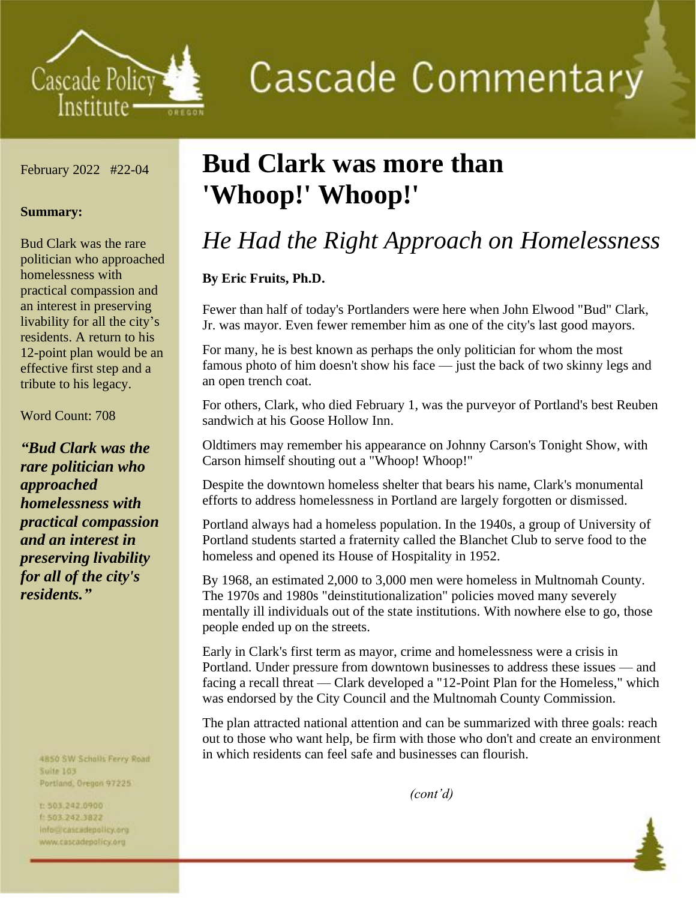

**Cascade Commentary** 

February 2022 #22-04

## **Summary:**

Bud Clark was the rare politician who approached homelessness with practical compassion and an interest in preserving livability for all the city's residents. A return to his 12-point plan would be an effective first step and a tribute to his legacy.

Word Count: 708

*"Bud Clark was the rare politician who approached homelessness with practical compassion and an interest in preserving livability for all of the city's residents."*

> 4B50 SW Scholls Ferry Road **Suite 103**

Portland, Oregon 97225

t:503,242.0900 1 503.242.3822

info@cascadepolicy.org www.cascadepolicy.org

## **Bud Clark was more than 'Whoop!' Whoop!'**

## *He Had the Right Approach on Homelessness*

## **By Eric Fruits, Ph.D.**

Fewer than half of today's Portlanders were here when John Elwood "Bud" Clark, Jr. was mayor. Even fewer remember him as one of the city's last good mayors.

For many, he is best known as perhaps the only politician for whom the most famous photo of him doesn't show his face — just the back of two skinny legs and an open trench coat.

For others, Clark, who died February 1, was the purveyor of Portland's best Reuben sandwich at his Goose Hollow Inn.

Oldtimers may remember his appearance on Johnny Carson's Tonight Show, with Carson himself shouting out a "Whoop! Whoop!"

Despite the downtown homeless shelter that bears his name, Clark's monumental efforts to address homelessness in Portland are largely forgotten or dismissed.

Portland always had a homeless population. In the 1940s, a group of University of Portland students started a fraternity called the Blanchet Club to serve food to the homeless and opened its House of Hospitality in 1952.

By 1968, an estimated 2,000 to 3,000 men were homeless in Multnomah County. The 1970s and 1980s "deinstitutionalization" policies moved many severely mentally ill individuals out of the state institutions. With nowhere else to go, those people ended up on the streets.

Early in Clark's first term as mayor, crime and homelessness were a crisis in Portland. Under pressure from downtown businesses to address these issues — and facing a recall threat — Clark developed a "12-Point Plan for the Homeless," which was endorsed by the City Council and the Multnomah County Commission.

The plan attracted national attention and can be summarized with three goals: reach out to those who want help, be firm with those who don't and create an environment in which residents can feel safe and businesses can flourish.

*(cont'd)*